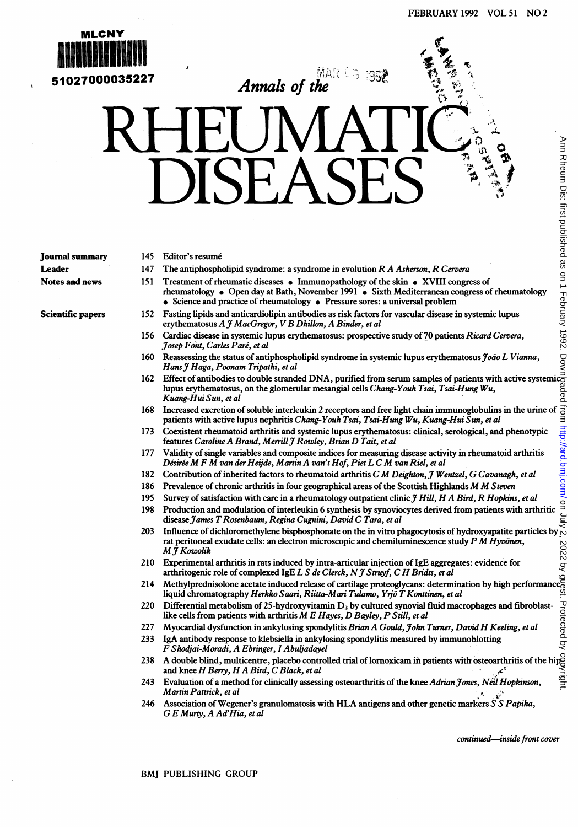

 $\overline{\mathbf{5}}$ 1027000035227  $\overline{\mathbf{A}}$  Annals of the

## DISEASES

Journal summary Leader Notes and news

Scientific papers

- 145 Editor's resume
- 147 The antiphospholipid syndrome: a syndrome in evolution  $RA$  Asherson,  $RC$ ervera
- 151 Treatment of rheumatic diseases  $\bullet$  Immunopathology of the skin  $\bullet$  XVIII congress of rheumatology • Open day at Bath, November 1991 • Sixth Mediterranean congress of rheumatology • Science and practice of rheumatology • Pressure sores: a universal problem
- 152 Fasting lipids and anticardiolipin antibodies as risk factors for vascular disease in systemic lupus<br>erythematosus A J MacGregor, V B Dhillon, A Binder, et al
- 156 Cardiac disease in systemic lupus erythematosus: prospective study of 70 patients Ricard Cervera, Josep Font, Caries Pare, et al
- 160 Reassessing the status of antiphospholipid syndrome in systemic lupus erythematosus João L Vianna, HansJ Haga, Poonam Tripathi, et al
- <sup>162</sup> Effect of antibodies to double stranded DNA, purified from serum samples of patients with active systemic lupus erythematosus, on the glomerular mesangial cells *Chang-Youh Tsai, Tsai-Hung Wu*, Kuang-Hui Sun, et al
- 168 Increased excretion of soluble interleukin 2 receptors and free light chain immunoglobulins in the urine of patients with active lupus nephritis Chang-Youh Tsai, Tsai-Hung Wu, Kuang-Hui Sun, et al
- 173 Coexistent rheumatoid arthritis and systemic lupus erythematosus: clinical, serological, and phenotypic features Caroline A Brand, Merrill J Rowley, Brian D Tait, et al
- 177 Validity of single variables and composite indices for measuring disease activity in rheumatoid arthritis Désirée M F M van der Heijde, Martin A van't Hof, Piet L C M van Riel, et al
- 182 Contribution of inherited factors to rheumatoid arthritis C M Deighton, J Wentzel, G Cavanagh, et al
- 186 Prevalence of chronic arthritis in four geographical areas of the Scottish Highlands M M Steven
- 195 Survey of satisfaction with care in a rheumatology outpatient clinic J Hill, H A Bird, R Hopkins, et al
- 198 Production and modulation of interleukin 6 synthesis by synoviocytes derived from patients with arthritic disease James T Rosenbaum, Regina Cugnini, David C Tara, et al 203 Influence of dichloromethylene bisphosphonate on the in vitro phagocytosis of hydroxyapatite particles by  $\frac{1}{2}$ <br>203 Influence of dichloromethylene bisphosphonate on the in vitro phagocytosis of hydroxyapatite part
- rat peritoneal exudate cells: an electron microscopic and chemiluminescence study  $P M H y v \ddot{o} n \epsilon n$ , MJ Kowolik
- 210 Experimental arthritis in rats induced by intra-articular injection of IgE aggregates: evidence for arthritogenic role of complexed IgE  $L S$  de Clerck, N  $\mathcal J$  Struyf, C H Bridts, et al rat peritoneal exudate cells: an electron microscopic and chemiluminescence study  $P'M$  Hyvonen,<br>  $M \bar{f}$  Kowolik<br>
210 Experimental arthritis in rats induced by intra-articular injection of IgE aggregates: evidence for<br>
- liquid chromatography Herkko Saari, Riitta-Mari Tulamo, Yrjö T Konttinen, et al
- 220 Differential metabolism of 25-hydroxyvitamin  $D_3$  by cultured synovial fluid macrophages and fibroblastlike cells from patients with arthritis  $M E$  Hayes, D Bayley, P Still, et al
- 227 Myocardial dysfunction in ankylosing spondylitis Brian A Gould, John Turner, David H Keeling, et al
- 233 IgA antibody response to klebsiella in ankylosing spondylitis measured by immunoblotting F Shodjai-Moradi, A Ebringer, <sup>I</sup> Abuliadayel
- 238 A double blind, multicentre, placebo controlled trial of lornoxicam in patients with osteoarthritis of the hipg and knee  $H$  Berry,  $H A$  Bird,  $C$  Black, et al -∡\*
- 243 Evaluation of a method for clinically assessing osteoarthritis of the knee Adrian Jones, Neil Hopkinson, Martin Pattrick, et al
- 246 Association of Wegener's granulomatosis with HLA antigens and other genetic markers  $\overline{S} S$  Papiha, G E Murty, A Ad'Hia, et al

continued-inside front cover

BMJ PUBLISHING GROUP

Ann Rheum Dis: first published as on 1 February 1992. Downloaded from <http://ard.bmj.com/> on July 2, 2022 by gyest. Protected by copyright. from http://ard.bmi.com/ Protected by .<br>بون